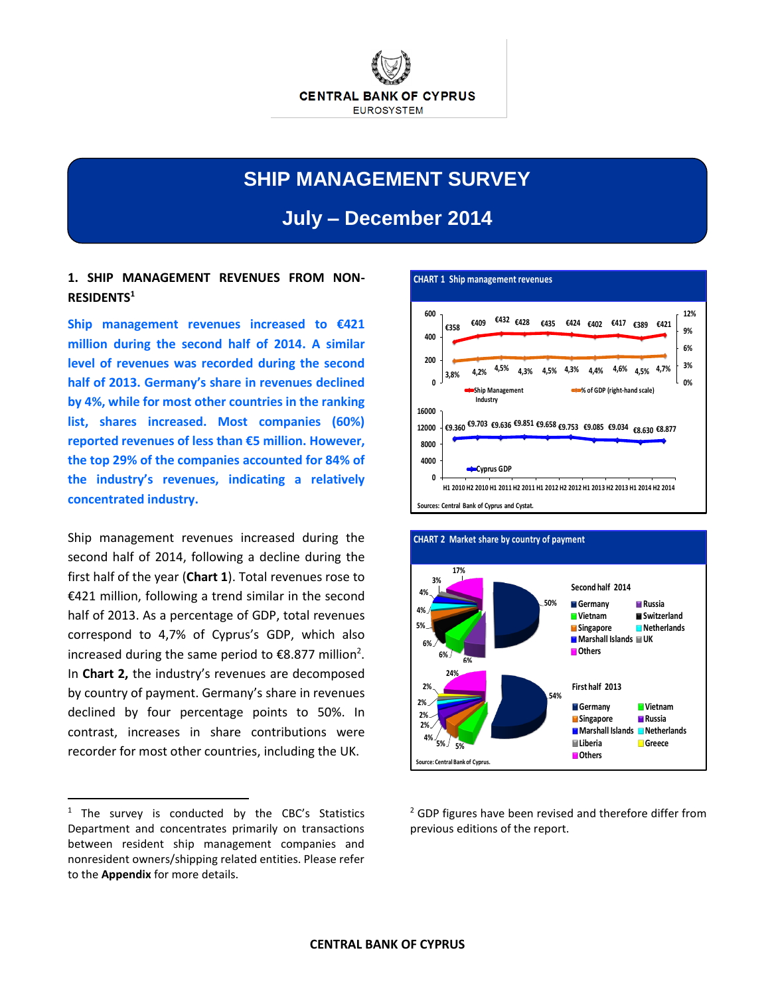

# **SHIP MANAGEMENT SURVEY**

**July – December 2014**

## **1. SHIP MANAGEMENT REVENUES FROM NON-RESIDENTS<sup>1</sup>**

**Ship management revenues increased to €421 million during the second half of 2014. A similar level of revenues was recorded during the second half of 2013. Germany's share in revenues declined by 4%, while for most other countries in the ranking list, shares increased. Most companies (60%) reported revenues of less than €5 million. However, the top 29% of the companies accounted for 84% of the industry's revenues, indicating a relatively concentrated industry.**

Ship management revenues increased during the second half of 2014, following a decline during the first half of the year (**Chart 1**). Total revenues rose to €421 million, following a trend similar in the second half of 2013. As a percentage of GDP, total revenues correspond to 4,7% of Cyprus's GDP, which also increased during the same period to  $\epsilon$ 8.877 million<sup>2</sup>. In **Chart 2,** the industry's revenues are decomposed by country of payment. Germany's share in revenues declined by four percentage points to 50%. In contrast, increases in share contributions were recorder for most other countries, including the UK.

 $\ddot{\phantom{a}}$ 





<sup>2</sup> GDP figures have been revised and therefore differ from previous editions of the report.

 $1$  The survey is conducted by the CBC's Statistics Department and concentrates primarily on transactions between resident ship management companies and nonresident owners/shipping related entities. Please refer to the **Appendix** for more details.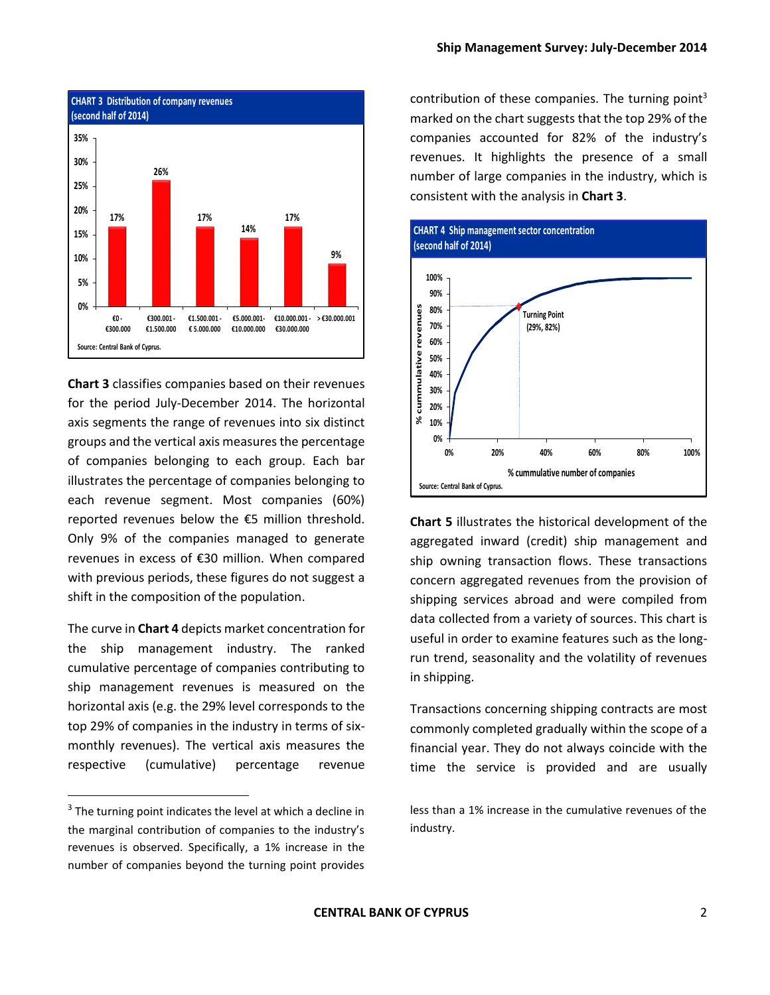

**Chart 3** classifies companies based on their revenues for the period July-December 2014. The horizontal axis segments the range of revenues into six distinct groups and the vertical axis measures the percentage of companies belonging to each group. Each bar illustrates the percentage of companies belonging to each revenue segment. Most companies (60%) reported revenues below the €5 million threshold. Only 9% of the companies managed to generate revenues in excess of €30 million. When compared with previous periods, these figures do not suggest a shift in the composition of the population.

The curve in **Chart 4** depicts market concentration for the ship management industry. The ranked cumulative percentage of companies contributing to ship management revenues is measured on the horizontal axis (e.g. the 29% level corresponds to the top 29% of companies in the industry in terms of sixmonthly revenues). The vertical axis measures the respective (cumulative) percentage revenue

 $\overline{a}$ 

contribution of these companies. The turning point<sup>3</sup> marked on the chart suggests that the top 29% of the companies accounted for 82% of the industry's revenues. It highlights the presence of a small number of large companies in the industry, which is consistent with the analysis in **Chart 3**.



**Chart 5** illustrates the historical development of the aggregated inward (credit) ship management and ship owning transaction flows. These transactions concern aggregated revenues from the provision of shipping services abroad and were compiled from data collected from a variety of sources. This chart is useful in order to examine features such as the longrun trend, seasonality and the volatility of revenues in shipping.

Transactions concerning shipping contracts are most commonly completed gradually within the scope of a financial year. They do not always coincide with the time the service is provided and are usually

less than a 1% increase in the cumulative revenues of the industry.

<sup>&</sup>lt;sup>3</sup> The turning point indicates the level at which a decline in the marginal contribution of companies to the industry's revenues is observed. Specifically, a 1% increase in the number of companies beyond the turning point provides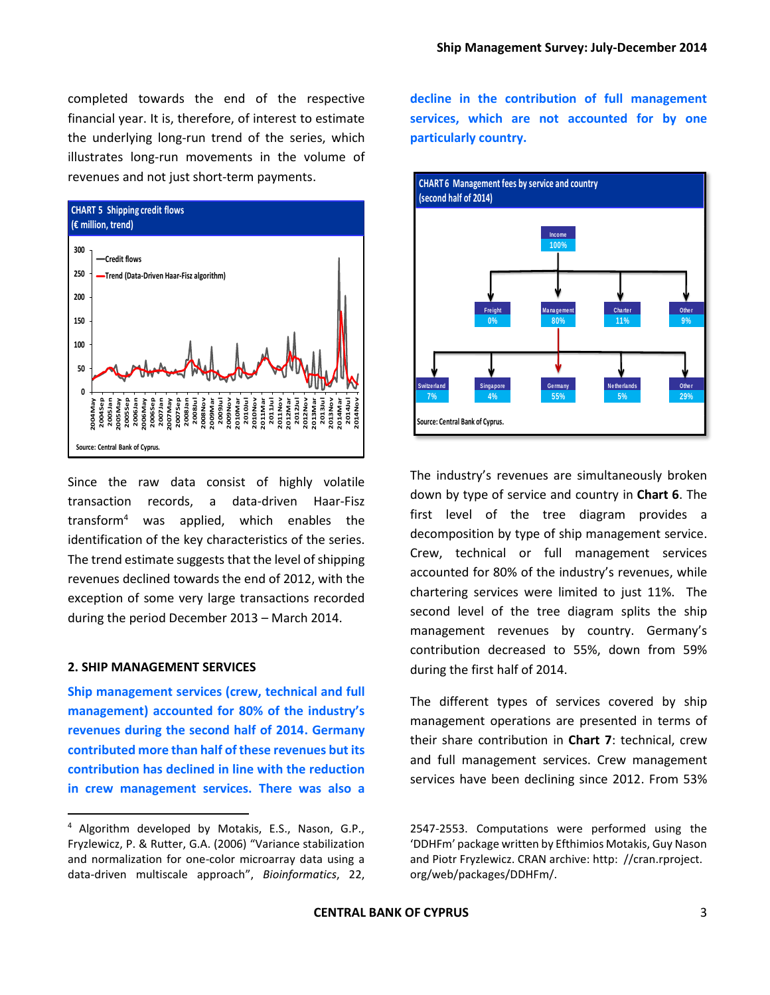completed towards the end of the respective financial year. It is, therefore, of interest to estimate the underlying long-run trend of the series, which illustrates long-run movements in the volume of revenues and not just short-term payments.



Since the raw data consist of highly volatile transaction records, a data-driven Haar-Fisz transform<sup>4</sup> was applied, which enables the identification of the key characteristics of the series. The trend estimate suggests that the level of shipping revenues declined towards the end of 2012, with the exception of some very large transactions recorded during the period December 2013 – March 2014.

#### **2. SHIP MANAGEMENT SERVICES**

 $\overline{a}$ 

**Ship management services (crew, technical and full management) accounted for 80% of the industry's revenues during the second half of 2014. Germany contributed more than half of these revenues but its contribution has declined in line with the reduction in crew management services. There was also a** 

**decline in the contribution of full management services, which are not accounted for by one particularly country.**



The industry's revenues are simultaneously broken down by type of service and country in **Chart 6**. The first level of the tree diagram provides a decomposition by type of ship management service. Crew, technical or full management services accounted for 80% of the industry's revenues, while chartering services were limited to just 11%. The second level of the tree diagram splits the ship management revenues by country. Germany's contribution decreased to 55%, down from 59% during the first half of 2014.

The different types of services covered by ship management operations are presented in terms of their share contribution in **Chart 7**: technical, crew and full management services. Crew management services have been declining since 2012. From 53%

<sup>4</sup> Algorithm developed by Motakis, E.S., Nason, G.P., Fryzlewicz, P. & Rutter, G.A. (2006) "Variance stabilization and normalization for one-color microarray data using a data-driven multiscale approach", *Bioinformatics*, 22,

<sup>2547-2553.</sup> Computations were performed using the 'DDHFm' package written by Efthimios Motakis, Guy Nason and Piotr Fryzlewicz. CRAN archive: http: //cran.rproject. org/web/packages/DDHFm/.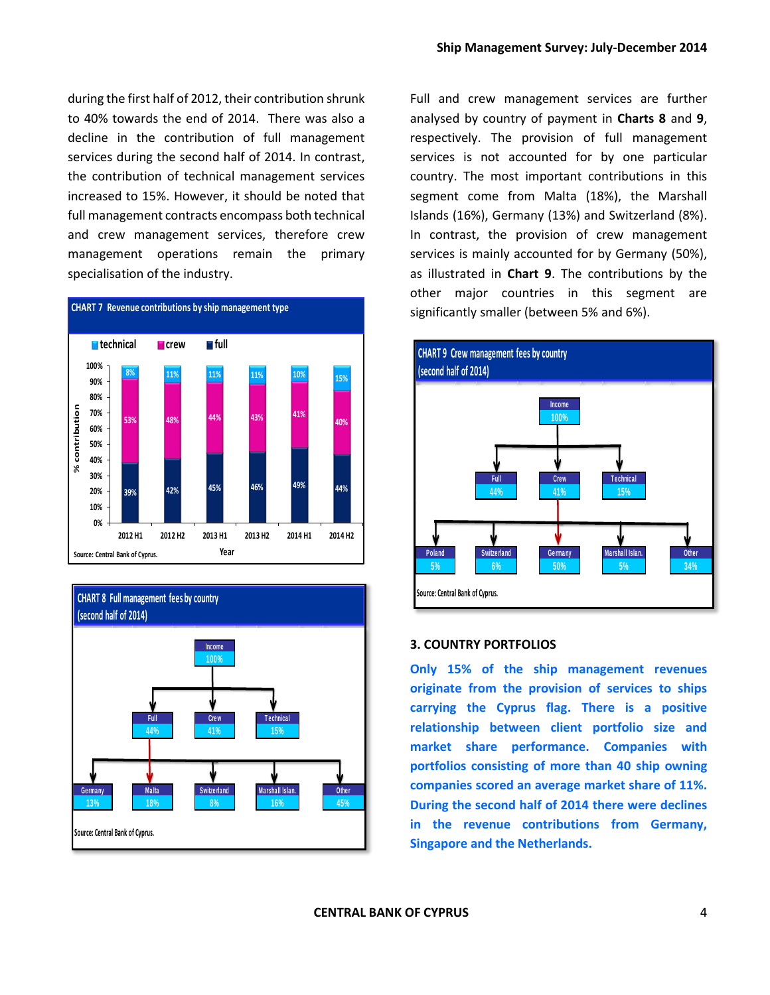during the first half of 2012, their contribution shrunk to 40% towards the end of 2014. There was also a decline in the contribution of full management services during the second half of 2014. In contrast, the contribution of technical management services increased to 15%. However, it should be noted that full management contracts encompass both technical and crew management services, therefore crew management operations remain the primary specialisation of the industry.





Full and crew management services are further analysed by country of payment in **Charts 8** and **9**, respectively. The provision of full management services is not accounted for by one particular country. The most important contributions in this segment come from Malta (18%), the Marshall Islands (16%), Germany (13%) and Switzerland (8%). In contrast, the provision of crew management services is mainly accounted for by Germany (50%), as illustrated in **Chart 9**. The contributions by the other major countries in this segment are significantly smaller (between 5% and 6%).



#### **3. COUNTRY PORTFOLIOS**

**Only 15% of the ship management revenues originate from the provision of services to ships carrying the Cyprus flag. There is a positive relationship between client portfolio size and market share performance. Companies with portfolios consisting of more than 40 ship owning companies scored an average market share of 11%. During the second half of 2014 there were declines in the revenue contributions from Germany, Singapore and the Netherlands.**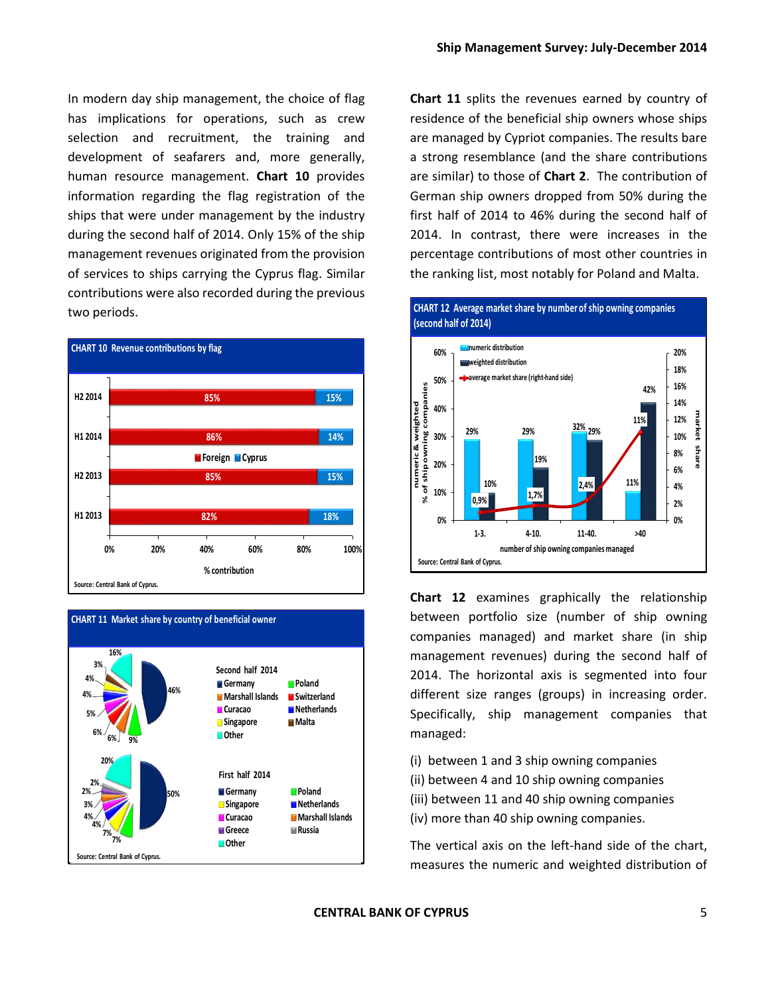In modern day ship management, the choice of flag has implications for operations, such as crew selection and recruitment, the training and development of seafarers and, more generally, human resource management. **Chart 10** provides information regarding the flag registration of the ships that were under management by the industry during the second half of 2014. Only 15% of the ship management revenues originated from the provision of services to ships carrying the Cyprus flag. Similar contributions were also recorded during the previous two periods.





**Chart 11** splits the revenues earned by country of residence of the beneficial ship owners whose ships are managed by Cypriot companies. The results bare a strong resemblance (and the share contributions are similar) to those of **Chart 2**. The contribution of German ship owners dropped from 50% during the first half of 2014 to 46% during the second half of 2014. In contrast, there were increases in the percentage contributions of most other countries in the ranking list, most notably for Poland and Malta.



**Chart 12** examines graphically the relationship between portfolio size (number of ship owning companies managed) and market share (in ship management revenues) during the second half of 2014. The horizontal axis is segmented into four different size ranges (groups) in increasing order. Specifically, ship management companies that managed:

- (i) between 1 and 3 ship owning companies
- (ii) between 4 and 10 ship owning companies
- (iii) between 11 and 40 ship owning companies
- (iv) more than 40 ship owning companies.

The vertical axis on the left-hand side of the chart, measures the numeric and weighted distribution of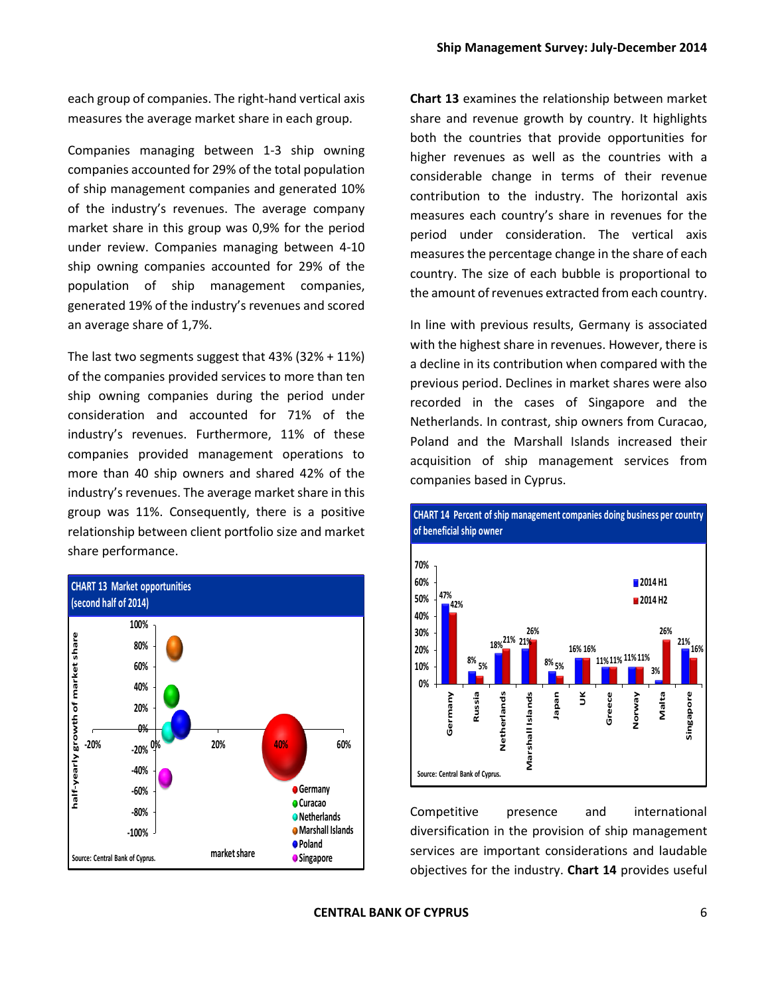each group of companies. The right-hand vertical axis measures the average market share in each group.

Companies managing between 1-3 ship owning companies accounted for 29% of the total population of ship management companies and generated 10% of the industry's revenues. The average company market share in this group was 0,9% for the period under review. Companies managing between 4-10 ship owning companies accounted for 29% of the population of ship management companies, generated 19% of the industry's revenues and scored an average share of 1,7%.

The last two segments suggest that 43% (32% + 11%) of the companies provided services to more than ten ship owning companies during the period under consideration and accounted for 71% of the industry's revenues. Furthermore, 11% of these companies provided management operations to more than 40 ship owners and shared 42% of the industry's revenues. The average market share in this group was 11%. Consequently, there is a positive relationship between client portfolio size and market share performance.



**Chart 13** examines the relationship between market share and revenue growth by country. It highlights both the countries that provide opportunities for higher revenues as well as the countries with a considerable change in terms of their revenue contribution to the industry. The horizontal axis measures each country's share in revenues for the period under consideration. The vertical axis measures the percentage change in the share of each country. The size of each bubble is proportional to the amount of revenues extracted from each country.

In line with previous results, Germany is associated with the highest share in revenues. However, there is a decline in its contribution when compared with the previous period. Declines in market shares were also recorded in the cases of Singapore and the Netherlands. In contrast, ship owners from Curacao, Poland and the Marshall Islands increased their acquisition of ship management services from companies based in Cyprus.



**CHART 14 Percent of ship management companies doing business per country of beneficial ship owner**

Competitive presence and international diversification in the provision of ship management services are important considerations and laudable objectives for the industry. **Chart 14** provides useful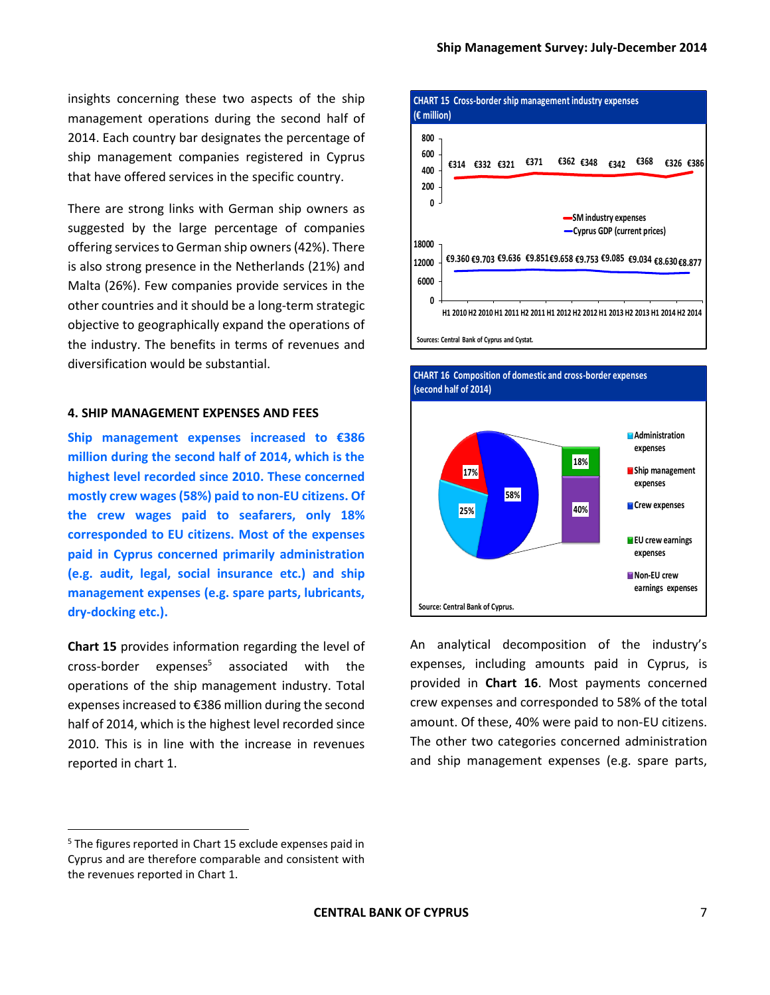**€314 €332 €321 €371 €362 €348 €342 €368 €326 €386**

insights concerning these two aspects of the ship management operations during the second half of 2014. Each country bar designates the percentage of ship management companies registered in Cyprus that have offered services in the specific country.

There are strong links with German ship owners as suggested by the large percentage of companies offering services to German ship owners (42%). There is also strong presence in the Netherlands (21%) and Malta (26%). Few companies provide services in the other countries and it should be a long-term strategic objective to geographically expand the operations of the industry. The benefits in terms of revenues and diversification would be substantial.

#### **4. SHIP MANAGEMENT EXPENSES AND FEES**

**Ship management expenses increased to €386 million during the second half of 2014, which is the highest level recorded since 2010. These concerned mostly crew wages (58%) paid to non-EU citizens. Of the crew wages paid to seafarers, only 18% corresponded to EU citizens. Most of the expenses paid in Cyprus concerned primarily administration (e.g. audit, legal, social insurance etc.) and ship management expenses (e.g. spare parts, lubricants, dry-docking etc.).**

**Chart 15** provides information regarding the level of  $cross-border$  expenses<sup>5</sup> associated with the operations of the ship management industry. Total expenses increased to €386 million during the second half of 2014, which is the highest level recorded since 2010. This is in line with the increase in revenues reported in chart 1.

 $\ddot{\phantom{a}}$ 



**CHART 15 Cross-border ship management industry expenses** 

**400 600 800**

**25%**

**Source: Central Bank of Cyprus.**

**58%**

**(€ million)**



**40%**

**expenses Crew expenses**

**EU crew earnings expenses Non-EU crew earnings expenses**

<sup>5</sup> The figures reported in Chart 15 exclude expenses paid in Cyprus and are therefore comparable and consistent with the revenues reported in Chart 1.

**CENTRAL BANK OF CYPRUS** 7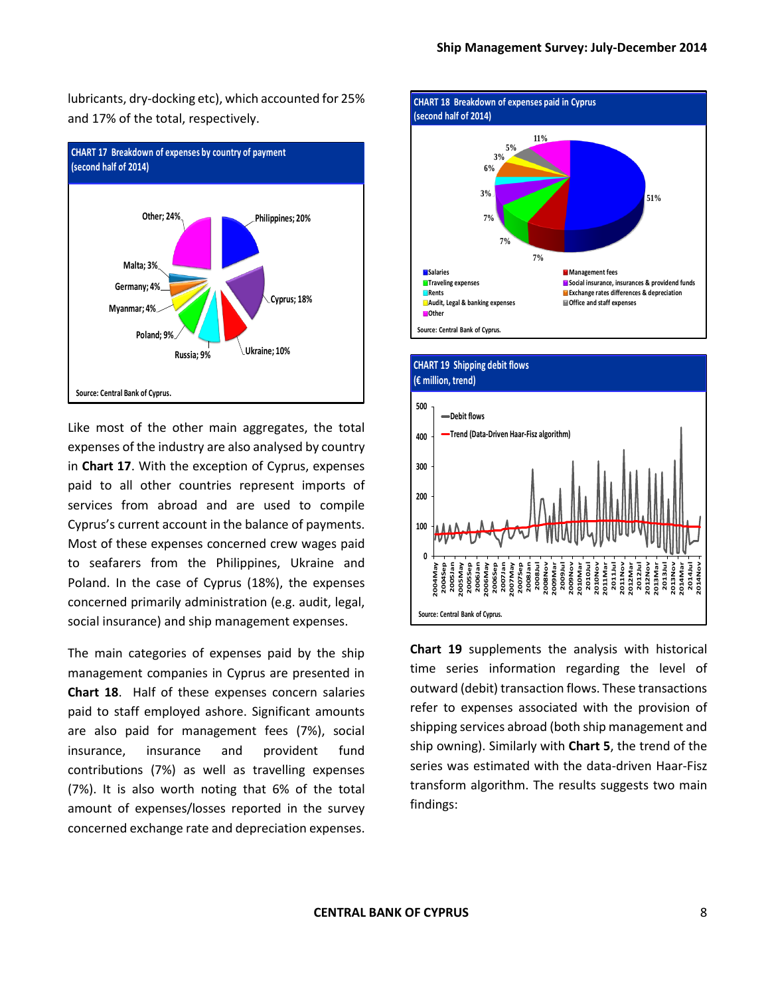lubricants, dry-docking etc), which accounted for 25% and 17% of the total, respectively.



Like most of the other main aggregates, the total expenses of the industry are also analysed by country in **Chart 17**. With the exception of Cyprus, expenses paid to all other countries represent imports of services from abroad and are used to compile Cyprus's current account in the balance of payments. Most of these expenses concerned crew wages paid to seafarers from the Philippines, Ukraine and Poland. In the case of Cyprus (18%), the expenses concerned primarily administration (e.g. audit, legal, social insurance) and ship management expenses.

The main categories of expenses paid by the ship management companies in Cyprus are presented in **Chart 18**. Half of these expenses concern salaries paid to staff employed ashore. Significant amounts are also paid for management fees (7%), social insurance, insurance and provident fund contributions (7%) as well as travelling expenses (7%). It is also worth noting that 6% of the total amount of expenses/losses reported in the survey concerned exchange rate and depreciation expenses.





**Chart 19** supplements the analysis with historical time series information regarding the level of outward (debit) transaction flows. These transactions refer to expenses associated with the provision of shipping services abroad (both ship management and ship owning). Similarly with **Chart 5**, the trend of the series was estimated with the data-driven Haar-Fisz transform algorithm. The results suggests two main findings: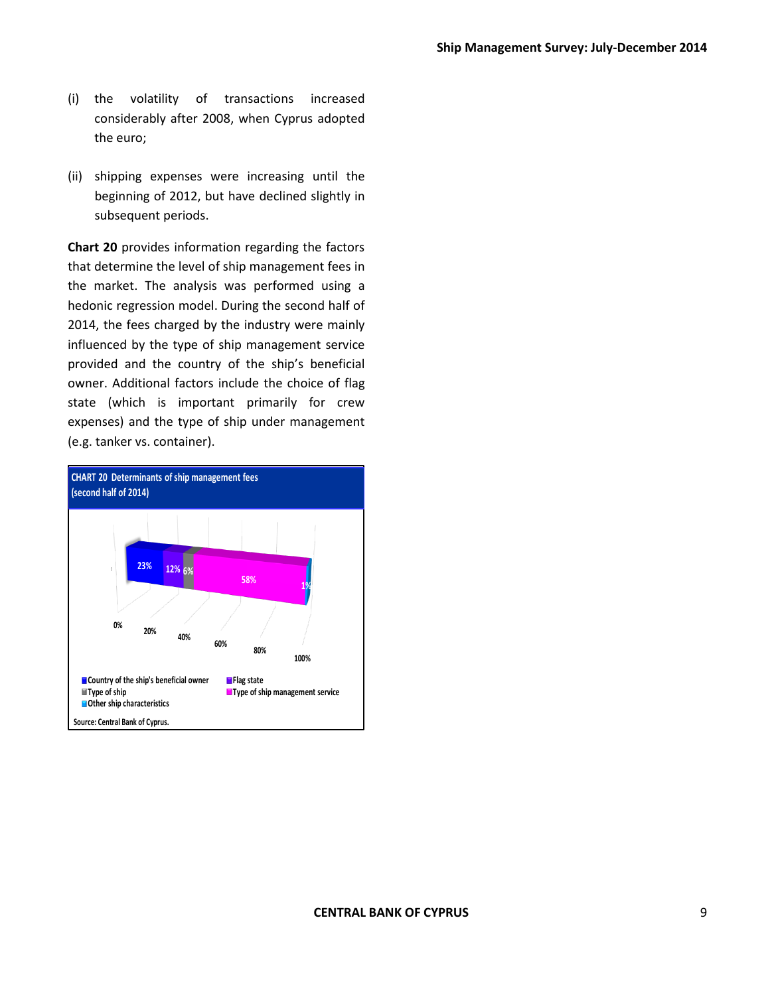- (i) the volatility of transactions increased considerably after 2008, when Cyprus adopted the euro;
- (ii) shipping expenses were increasing until the beginning of 2012, but have declined slightly in subsequent periods.

**Chart 20** provides information regarding the factors that determine the level of ship management fees in the market. The analysis was performed using a hedonic regression model. During the second half of 2014, the fees charged by the industry were mainly influenced by the type of ship management service provided and the country of the ship's beneficial owner. Additional factors include the choice of flag state (which is important primarily for crew expenses) and the type of ship under management (e.g. tanker vs. container).